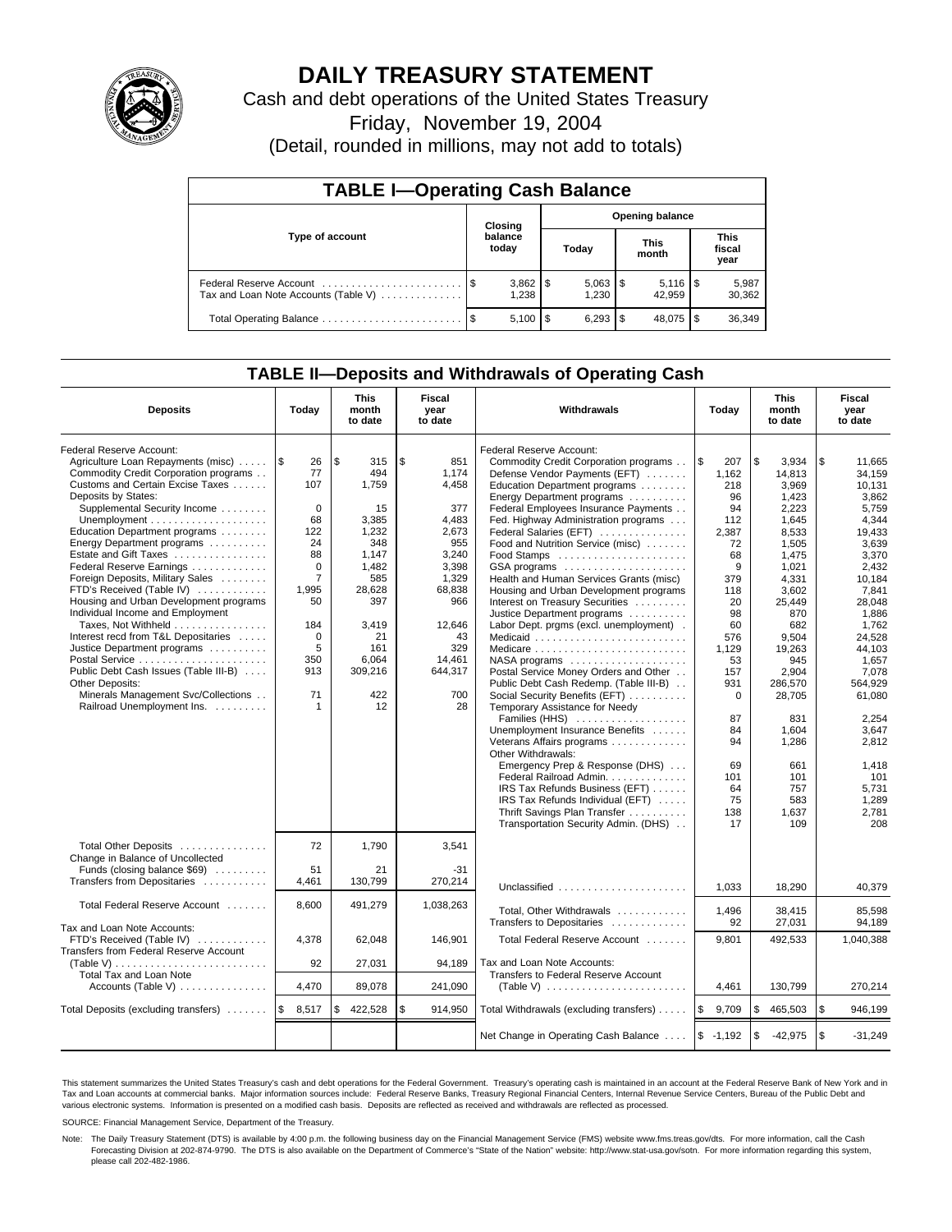

# **DAILY TREASURY STATEMENT**

Cash and debt operations of the United States Treasury

Friday, November 19, 2004

(Detail, rounded in millions, may not add to totals)

| <b>TABLE I-Operating Cash Balance</b>                           |    |                                   |  |           |  |                      |                               |                 |  |
|-----------------------------------------------------------------|----|-----------------------------------|--|-----------|--|----------------------|-------------------------------|-----------------|--|
|                                                                 |    | <b>Opening balance</b><br>Closing |  |           |  |                      |                               |                 |  |
| Type of account                                                 |    | balance<br>today                  |  | Today     |  | <b>This</b><br>month | <b>This</b><br>fiscal<br>year |                 |  |
| Federal Reserve Account<br>Tax and Loan Note Accounts (Table V) |    | $3,862$   \$<br>1.238             |  | 1.230     |  | 42.959               |                               | 5,987<br>30,362 |  |
|                                                                 | \$ | $5,100$ \ \$                      |  | $6.293$ S |  | 48.075               |                               | 36,349          |  |

### **TABLE II—Deposits and Withdrawals of Operating Cash**

| <b>Deposits</b>                                          | Today          | <b>This</b><br>month<br>to date | Fiscal<br>year<br>to date | Withdrawals                                                  |                   | <b>This</b><br>month<br>to date | Fiscal<br>year<br>to date |
|----------------------------------------------------------|----------------|---------------------------------|---------------------------|--------------------------------------------------------------|-------------------|---------------------------------|---------------------------|
| Federal Reserve Account:                                 |                |                                 |                           | Federal Reserve Account:                                     |                   |                                 |                           |
| Agriculture Loan Repayments (misc)  S                    | 26             | \$<br>315                       | \$<br>851                 | Commodity Credit Corporation programs                        | l \$<br>207       | \$<br>3.934                     | \$<br>11.665              |
| Commodity Credit Corporation programs                    | 77             | 494                             | 1.174                     | Defense Vendor Payments (EFT)                                | 1.162             | 14,813                          | 34.159                    |
| Customs and Certain Excise Taxes                         | 107            | 1.759                           | 4,458                     | Education Department programs                                | 218               | 3.969                           | 10.131                    |
| Deposits by States:                                      |                |                                 |                           | Energy Department programs                                   | 96                | 1,423                           | 3,862                     |
| Supplemental Security Income                             | $\mathbf 0$    | 15                              | 377                       | Federal Employees Insurance Payments                         | 94                | 2,223                           | 5,759                     |
|                                                          | 68             | 3,385                           | 4,483                     | Fed. Highway Administration programs                         | 112               | 1,645                           | 4,344                     |
| Education Department programs                            | 122            | 1,232                           | 2,673                     | Federal Salaries (EFT)                                       | 2,387             | 8.533                           | 19.433                    |
| Energy Department programs                               | 24             | 348                             | 955                       | Food and Nutrition Service (misc)                            | 72                | 1.505                           | 3.639                     |
| Estate and Gift Taxes                                    | 88             | 1.147                           | 3.240                     | Food Stamps                                                  | 68                | 1.475                           | 3.370                     |
| Federal Reserve Earnings                                 | $\Omega$       | 1,482                           | 3,398                     | GSA programs                                                 | 9                 | 1,021                           | 2,432                     |
| Foreign Deposits, Military Sales                         | $\overline{7}$ | 585                             | 1,329                     | Health and Human Services Grants (misc)                      | 379               | 4,331                           | 10,184                    |
| FTD's Received (Table IV)                                | 1,995          | 28,628                          | 68,838                    | Housing and Urban Development programs                       | 118               | 3,602                           | 7.841                     |
| Housing and Urban Development programs                   | 50             | 397                             | 966                       | Interest on Treasury Securities                              | 20                | 25,449                          | 28,048                    |
| Individual Income and Employment                         |                |                                 |                           | Justice Department programs                                  | 98                | 870                             | 1,886                     |
| Taxes, Not Withheld                                      | 184            | 3,419                           | 12,646                    | Labor Dept. prgms (excl. unemployment).                      | 60                | 682                             | 1.762                     |
| Interest recd from T&L Depositaries                      | $\mathbf 0$    | 21                              | 43                        | Medicaid                                                     | 576               | 9.504                           | 24,528                    |
| Justice Department programs                              | 5              | 161                             | 329                       | Medicare                                                     | 1,129             | 19,263                          | 44,103                    |
| Postal Service                                           | 350            | 6,064                           | 14,461                    | NASA programs                                                | 53                | 945                             | 1,657                     |
| Public Debt Cash Issues (Table III-B)                    | 913            | 309,216                         | 644,317                   | Postal Service Money Orders and Other                        | 157               | 2,904                           | 7.078                     |
| Other Deposits:                                          |                |                                 |                           | Public Debt Cash Redemp. (Table III-B)                       | 931               | 286.570                         | 564.929                   |
| Minerals Management Svc/Collections                      | 71             | 422                             | 700                       | Social Security Benefits (EFT)                               | $\Omega$          | 28,705                          | 61,080                    |
| Railroad Unemployment Ins.                               | 1              | 12                              | 28                        | Temporary Assistance for Needy                               |                   |                                 |                           |
|                                                          |                |                                 |                           | Families (HHS)                                               | 87                | 831                             | 2.254                     |
|                                                          |                |                                 |                           | Unemployment Insurance Benefits                              | 84                | 1,604                           | 3,647                     |
|                                                          |                |                                 |                           | Veterans Affairs programs                                    | 94                | 1,286                           | 2,812                     |
|                                                          |                |                                 |                           | Other Withdrawals:                                           |                   |                                 |                           |
|                                                          |                |                                 |                           | Emergency Prep & Response (DHS)                              | 69                | 661                             | 1.418                     |
|                                                          |                |                                 |                           | Federal Railroad Admin.                                      | 101               | 101                             | 101                       |
|                                                          |                |                                 |                           | IRS Tax Refunds Business (EFT)                               | 64                | 757                             | 5,731                     |
|                                                          |                |                                 |                           | IRS Tax Refunds Individual (EFT)                             | 75                | 583                             | 1,289                     |
|                                                          |                |                                 |                           | Thrift Savings Plan Transfer                                 | 138               | 1,637                           | 2,781                     |
|                                                          |                |                                 |                           | Transportation Security Admin. (DHS)                         | 17                | 109                             | 208                       |
|                                                          |                |                                 |                           |                                                              |                   |                                 |                           |
| Total Other Deposits<br>Change in Balance of Uncollected | 72             | 1,790                           | 3,541                     |                                                              |                   |                                 |                           |
| Funds (closing balance $$69$ )                           | 51             | 21                              | $-31$                     |                                                              |                   |                                 |                           |
| Transfers from Depositaries                              | 4,461          | 130,799                         | 270,214                   |                                                              |                   |                                 |                           |
|                                                          |                |                                 |                           | Unclassified                                                 | 1.033             | 18,290                          | 40,379                    |
| Total Federal Reserve Account                            | 8,600          | 491,279                         | 1,038,263                 | Total, Other Withdrawals                                     | 1,496             | 38,415                          | 85,598                    |
|                                                          |                |                                 |                           | Transfers to Depositaries                                    | 92                | 27,031                          | 94.189                    |
| Tax and Loan Note Accounts:                              |                |                                 |                           |                                                              |                   |                                 |                           |
| FTD's Received (Table IV)                                | 4,378          | 62,048                          | 146,901                   | Total Federal Reserve Account                                | 9,801             | 492,533                         | 1,040,388                 |
| Transfers from Federal Reserve Account                   |                |                                 |                           |                                                              |                   |                                 |                           |
| (Table V)                                                | 92             | 27,031                          | 94.189                    | Tax and Loan Note Accounts:                                  |                   |                                 |                           |
| Total Tax and Loan Note                                  |                |                                 |                           | Transfers to Federal Reserve Account                         |                   |                                 |                           |
| Accounts (Table V)                                       | 4,470          | 89,078                          | 241,090                   | (Table V) $\ldots \ldots \ldots \ldots \ldots \ldots \ldots$ | 4,461             | 130,799                         | 270,214                   |
| Total Deposits (excluding transfers)                     | ۱\$<br>8,517   | \$<br>422,528                   | \$<br>914,950             | Total Withdrawals (excluding transfers)                      | <b>S</b><br>9,709 | <b>S</b><br>465,503             | \$<br>946,199             |
|                                                          |                |                                 |                           | Net Change in Operating Cash Balance                         | $$ -1,192$        | $\sqrt{3}$<br>$-42,975$         | \$<br>$-31.249$           |

This statement summarizes the United States Treasury's cash and debt operations for the Federal Government. Treasury's operating cash is maintained in an account at the Federal Reserve Bank of New York and in Tax and Loan accounts at commercial banks. Major information sources include: Federal Reserve Banks, Treasury Regional Financial Centers, Internal Revenue Service Centers, Bureau of the Public Debt and<br>various electronic s

SOURCE: Financial Management Service, Department of the Treasury.

Note: The Daily Treasury Statement (DTS) is available by 4:00 p.m. the following business day on the Financial Management Service (FMS) website www.fms.treas.gov/dts. For more information, call the Cash Forecasting Division at 202-874-9790. The DTS is also available on the Department of Commerce's "State of the Nation" website: http://www.stat-usa.gov/sotn. For more information regarding this system, please call 202-482-1986.